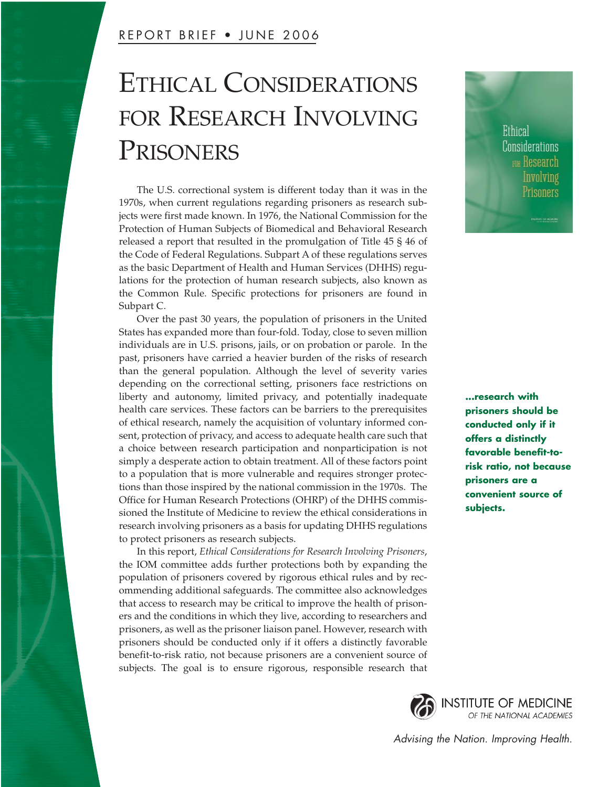# ETHICAL CONSIDERATIONS FOR RESEARCH INVOLVING PRISONERS

The U.S. correctional system is different today than it was in the 1970s, when current regulations regarding prisoners as research subjects were first made known. In 1976, the National Commission for the Protection of Human Subjects of Biomedical and Behavioral Research released a report that resulted in the promulgation of Title 45 § 46 of the Code of Federal Regulations. Subpart A of these regulations serves as the basic Department of Health and Human Services (DHHS) regulations for the protection of human research subjects, also known as the Common Rule. Specific protections for prisoners are found in Subpart C.

Over the past 30 years, the population of prisoners in the United States has expanded more than four-fold. Today, close to seven million individuals are in U.S. prisons, jails, or on probation or parole. In the past, prisoners have carried a heavier burden of the risks of research than the general population. Although the level of severity varies depending on the correctional setting, prisoners face restrictions on liberty and autonomy, limited privacy, and potentially inadequate health care services. These factors can be barriers to the prerequisites of ethical research, namely the acquisition of voluntary informed consent, protection of privacy, and access to adequate health care such that a choice between research participation and nonparticipation is not simply a desperate action to obtain treatment. All of these factors point to a population that is more vulnerable and requires stronger protections than those inspired by the national commission in the 1970s. The Office for Human Research Protections (OHRP) of the DHHS commissioned the Institute of Medicine to review the ethical considerations in research involving prisoners as a basis for updating DHHS regulations to protect prisoners as research subjects.

In this report, *Ethical Considerations for Research Involving Prisoners*, the IOM committee adds further protections both by expanding the population of prisoners covered by rigorous ethical rules and by recommending additional safeguards. The committee also acknowledges that access to research may be critical to improve the health of prisoners and the conditions in which they live, according to researchers and prisoners, as well as the prisoner liaison panel. However, research with prisoners should be conducted only if it offers a distinctly favorable benefit-to-risk ratio, not because prisoners are a convenient source of subjects. The goal is to ensure rigorous, responsible research that



**...research with prisoners should be conducted only if it offers a distinctly favorable benefit-torisk ratio, not because prisoners are a convenient source of subjects.**

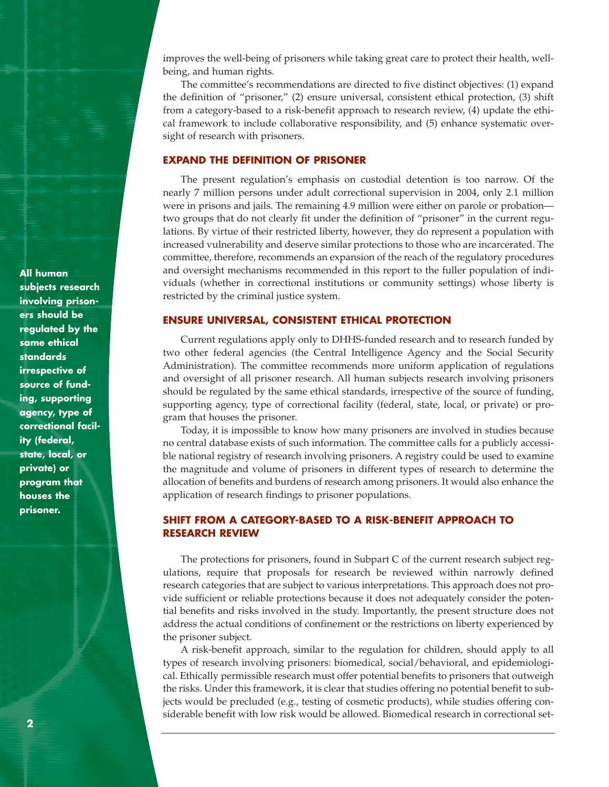improves the well-being of prisoners while taking great care to protect their health, wellbeing, and human rights.

The committee's recommendations are directed to five distinct objectives: (1) expand the definition of "prisoner," (2) ensure universal, consistent ethical protection, (3) shift from a category-based to a risk-benefit approach to research review, (4) update the ethical framework to include collaborative responsibility, and (5) enhance systematic oversight of research with prisoners.

## **EXPAND THE DEFINITION OF PRISONER**

The present regulation's emphasis on custodial detention is too narrow. Of the nearly 7 million persons under adult correctional supervision in 2004, only 2.1 million were in prisons and jails. The remaining 4.9 million were either on parole or probation two groups that do not clearly fit under the definition of "prisoner" in the current regulations. By virtue of their restricted liberty, however, they do represent a population with increased vulnerability and deserve similar protections to those who are incarcerated. The committee, therefore, recommends an expansion of the reach of the regulatory procedures and oversight mechanisms recommended in this report to the fuller population of individuals (whether in correctional institutions or community settings) whose liberty is restricted by the criminal justice system.

## **ENSURE UNIVERSAL, CONSISTENT ETHICAL PROTECTION**

Current regulations apply only to DHHS-funded research and to research funded by two other federal agencies (the Central Intelligence Agency and the Social Security Administration). The committee recommends more uniform application of regulations and oversight of all prisoner research. All human subjects research involving prisoners should be regulated by the same ethical standards, irrespective of the source of funding, supporting agency, type of correctional facility (federal, state, local, or private) or program that houses the prisoner.

Today, it is impossible to know how many prisoners are involved in studies because no central database exists of such information. The committee calls for a publicly accessible national registry of research involving prisoners. A registry could be used to examine the magnitude and volume of prisoners in different types of research to determine the allocation of benefits and burdens of research among prisoners. It would also enhance the application of research findings to prisoner populations.

## **SHIFT FROM A CATEGORY-BASED TO A RISK-BENEFIT APPROACH TO RESEARCH REVIEW**

The protections for prisoners, found in Subpart C of the current research subject regulations, require that proposals for research be reviewed within narrowly defined research categories that are subject to various interpretations. This approach does not provide sufficient or reliable protections because it does not adequately consider the potential benefits and risks involved in the study. Importantly, the present structure does not address the actual conditions of confinement or the restrictions on liberty experienced by the prisoner subject.

A risk-benefit approach, similar to the regulation for children, should apply to all types of research involving prisoners: biomedical, social/behavioral, and epidemiological. Ethically permissible research must offer potential benefits to prisoners that outweigh the risks. Under this framework, it is clear that studies offering no potential benefit to subjects would be precluded (e.g., testing of cosmetic products), while studies offering considerable benefit with low risk would be allowed. Biomedical research in correctional set-

**All human subjects research involving prisoners should be regulated by the same ethical standards irrespective of source of funding, supporting agency, type of correctional facility (federal, state, local, or private) or program that houses the prisoner.**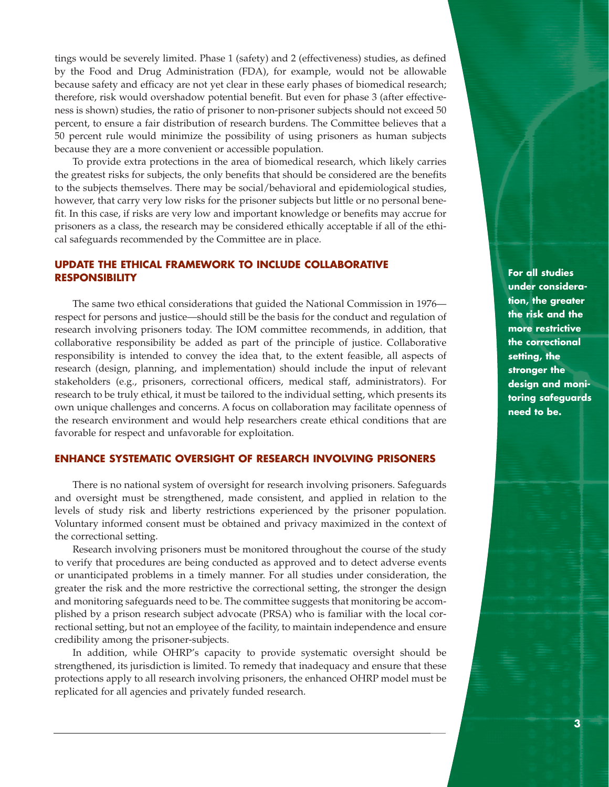tings would be severely limited. Phase 1 (safety) and 2 (effectiveness) studies, as defined by the Food and Drug Administration (FDA), for example, would not be allowable because safety and efficacy are not yet clear in these early phases of biomedical research; therefore, risk would overshadow potential benefit. But even for phase 3 (after effectiveness is shown) studies, the ratio of prisoner to non-prisoner subjects should not exceed 50 percent, to ensure a fair distribution of research burdens. The Committee believes that a 50 percent rule would minimize the possibility of using prisoners as human subjects because they are a more convenient or accessible population.

To provide extra protections in the area of biomedical research, which likely carries the greatest risks for subjects, the only benefits that should be considered are the benefits to the subjects themselves. There may be social/behavioral and epidemiological studies, however, that carry very low risks for the prisoner subjects but little or no personal benefit. In this case, if risks are very low and important knowledge or benefits may accrue for prisoners as a class, the research may be considered ethically acceptable if all of the ethical safeguards recommended by the Committee are in place.

## **UPDATE THE ETHICAL FRAMEWORK TO INCLUDE COLLABORATIVE RESPONSIBILITY**

The same two ethical considerations that guided the National Commission in 1976 respect for persons and justice—should still be the basis for the conduct and regulation of research involving prisoners today. The IOM committee recommends, in addition, that collaborative responsibility be added as part of the principle of justice. Collaborative responsibility is intended to convey the idea that, to the extent feasible, all aspects of research (design, planning, and implementation) should include the input of relevant stakeholders (e.g., prisoners, correctional officers, medical staff, administrators). For research to be truly ethical, it must be tailored to the individual setting, which presents its own unique challenges and concerns. A focus on collaboration may facilitate openness of the research environment and would help researchers create ethical conditions that are favorable for respect and unfavorable for exploitation.

## **ENHANCE SYSTEMATIC OVERSIGHT OF RESEARCH INVOLVING PRISONERS**

There is no national system of oversight for research involving prisoners. Safeguards and oversight must be strengthened, made consistent, and applied in relation to the levels of study risk and liberty restrictions experienced by the prisoner population. Voluntary informed consent must be obtained and privacy maximized in the context of the correctional setting.

Research involving prisoners must be monitored throughout the course of the study to verify that procedures are being conducted as approved and to detect adverse events or unanticipated problems in a timely manner. For all studies under consideration, the greater the risk and the more restrictive the correctional setting, the stronger the design and monitoring safeguards need to be. The committee suggests that monitoring be accomplished by a prison research subject advocate (PRSA) who is familiar with the local correctional setting, but not an employee of the facility, to maintain independence and ensure credibility among the prisoner-subjects.

In addition, while OHRP's capacity to provide systematic oversight should be strengthened, its jurisdiction is limited. To remedy that inadequacy and ensure that these protections apply to all research involving prisoners, the enhanced OHRP model must be replicated for all agencies and privately funded research.

**For all studies under consideration, the greater the risk and the more restrictive the correctional setting, the stronger the design and monitoring safeguards need to be.**